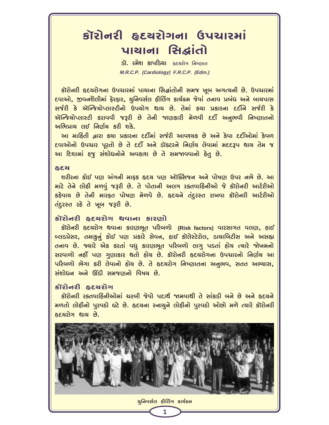# કૉરોનરી હૃદચરોગના ઉપચારમાં पायाना सिद्धांतो

ડૉ. રમેશ કાપડિયા હૃદયરોગ નિષ્ણાત M.R.C.P. (Cardiology) F.R.C.P. (Edin.)

કૉરોનરી હૃદયરોગના ઉપચારમાં પાચાના સિદ્ધાંતોની સમજ ખૂબ અગત્યની છે. ઉપચારમાં દવાઓ, જીવનશૈલીમાં ફેરફાર, ચુનિવર્સલ હીલિંગ કાર્ચક્રમ જેવાં તનાવ પ્રબંધ અને બાચપાસ સર્જરી કે ઍન્જિયોપ્લાસ્ટીનો ઉપયોગ થાય છે. તેમાં કયા પ્રકારના દર્દીને સર્જરી કે ઍન્જિયોપ્લાસ્ટી કરાવવી જરૂરી છે તેની જાણકારી મેળવી દર્દી અનુભવી નિષ્ણાતનો અભિપ્રાચ લઈ નિર્ણય કરી શકે.

આ માહિતી દ્વારા કર્યા પ્રકારના દર્દીમાં સર્જરી આવશ્યક છે અને કેવા દર્દીઓમાં કેવળ દવાઓનો ઉપચાર પૂરતો છે તે દર્દી અને ડૉક્ટરને નિર્ણય લેવામાં મદદરૂપ થાય તેમ જ આ દિશામાં હજુ સંશોધનોને અવકાશ છે તે સમજાવવાનો હેતુ છે.

#### **&**ಕಿತ

શરીરના કોઈ પણ અંગની માફક હૃદય પણ ઑક્સિજન અને પોષણ ઉપર નભે છે. આ માટે તેને લોહી મળવું જરૂરી છે. તે પોતાની અલગ રક્તવાહિનીઓ જે કૉરોનરી આર્ટરીઓ કઠેવાય છે તેની મારફત પોષણ મેળવે છે. હૃદયને તંદુરસ્ત રાખવા કૉરોનરી આર્ટરીઓ तहुरस्त रहे ते जूज ४३२ी छे.

#### કૉરોનરી હૃદચરોગ થવાના કારણો

કૉરોનરી હૃદચરોગ થવાના કારણભૂત પરિબળો (Risk factors) વારસાગત વલણ, હાઈ બ્લડપ્રેસર, તમાકુનું કોઈ પણ પ્રકારે સેવન, હાઈ કૉલેસ્ટેરોલ, ડાચાબિટીસ અને અસહ્ય તનાવ છે. જ્યારે એક કરતાં વધુ કારણભૂત પરિબળો લાગુ પડતાં હોય ત્યારે જોખમનો સરવાળો નહીં પણ ગુણાકાર થતો હોય છે. કૉરોનરી હૃદયરોગના ઉપચારનો નિર્ણય આ પરિબળો ભેગા કરી લેવાનો હોય છે. તે હૃદયરોગ નિષ્ણાતના અનુભવ, સતત અભ્યાસ, સંશોધન અને ઊંડી સમજણનો વિષય છે.

## કૉરોનરી હૃદચરોગ

કૉરોનરી રક્તવાહિનીઓમાં ચરબી જેવો પદાર્થ જામવાથી તે સાંકડી બને છે અને હૃદયને મળતો લોહીનો પુરવઠો ઘટે છે. હૃદચના સ્નાયુને લોહીનો પુરવઠો ઓછો મળે ત્યારે કૉરોનરી હૃદયરોગ થાય છે.

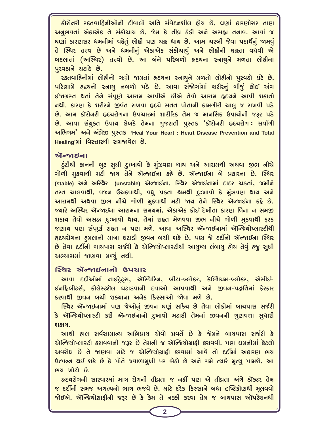કૉરોનરી રક્તવાહિનીઓની દીવાલો અતિ સંવેદનશીલ હોય છે. ઘણાં કારણોસર તાણ અનુભવતાં એકાએક તે સંકોચાચ છે. જેમ કે તીવ્ર ઠંડી અને અસહ્ય તનાવ. આવાં જ ઘણાં કારણસર ધમનીમાં વહેતું લોહી પણ ઘર્ટ થાય છે. આમ ચરબી જેવા પદાર્થનું જામવું તે સ્થિર તત્ત્વ છે અને ધમનીનું એકાએક સંકોચાવું અને લોહીની ઘટ્ટતા વધવી એ બદલાતાં (અસ્થિર) તત્ત્વો છે. આ બંને પરિબળો હૃદચના સ્નાચુને મળતા લોહીના पुरुपहाने घटाडे छे.

રક્તવાહિનીમાં લોહીનો ગર્જ્ઞો જામતાં હૃદયના સ્નાયુને મળતો લોહીનો પુરવઠો ઘટે છે. પરિણામે હૃદયનો સ્નાય નબળો પડે છે. આવા સંજોગાંમાં શરીરનું બીજું કોઈ અંગ ઈજાગ્રસ્ત થતાં તેને સંપૂર્ણ આરામ આપીએ છીએ તેવો આરામ હૃદચને આપી શકાતો નથી. કારણ કે શરીરને જીવંત રાખવા હૃદચે સતત પોતાની કામગીરી ચાલુ જ રાખવી પડે છે. આમ કૉરોનરી હૃદચરોગના ઉપચારમાં શારીરિક તેમ જ માનસિક ઉપાયોની જરૂર પડે છે. આવા સંચુક્ત ઉપાય લેખકે તેમના ગુજરાતી પુસ્તક 'કૉરોનરી હૃદચરોગ: સર્વાંગી અભિગમ' અને અંગ્રેજી પુસ્તક 'Heal Your Heart : Heart Disease Prevention and Total Healing'માં વિસ્તારથી સમજાવેલ છે.

#### ॶॻढ़ख़ॷॴ

.ડુંટીથી કાનની બુટ સુધી દુઃખાવો કે મુંઝવણ થાય અને આરામથી અથવા જીભ નીચે ગોળી મુકવાથી મટી જાય તેને ઍન્જાઈના કહે છે. ઍન્જાઈના બે પ્રકારના છે. સ્થિર (stable) અને અસ્થિર (unstable) ઍન્જાઈના. સ્થિર એજાઈનામાં દાદર ચડતાં, જમીને તરત ચાલવાથી, વજન ઉંચકવાથી, વધુ પડતા શ્રમથી દુઃખાવો કે મુંઝવણ થાય અને આરામથી અથવા જીભ નીચે ગોળી મુકવાથી મટી જાય તેને સ્થિર ઍન્જાઈના કહે છે. જ્યારે અસ્થિર ઍન્જાઈના આરામના સમયમાં, એકાએક કોઈ દેખીતા કારણ વિના ન સમજી શકાય તેવો અસહ્ય દુઃખાવો થાય. તેમાં રાહત મેળવવા જીભ નીચે ગોળી મુકવાથી ફરક જણાય પણ સંપૂર્ણ રાહત ન પણ મળે. આવા અસ્થિર ઍન્જાઈનામાં ઍન્જિયોપ્લાસ્ટીથી હૃદયરોગના હુમલાની માત્રા ઘટાડી જીવન બચી શકે છે. પણ જે દર્દીનો ઍન્જાઈના સ્થિર છે તેવા દર્દીની બાચપાસ સર્જરી કે ઍન્જિચોપ્લાસ્ટીથી આચુષ્ય લંબાચુ હોચ તેવું હજુ સુધી અભ્યાસમાં જાણવા મળ્યું નથી.

### स्थिर ઍक्शर्धनानो ઉપચાર

આવા દર્દીઓમાં નાઈટ્રેટ્સ, ઍસ્પિરિન, બીટા-બ્લોકર, કૅલ્શિયમ-બ્લોકર, એસીઈ-ઈનદિબીટર્સ, કોલેસ્ટ્રૉલ ઘટાડવાની દવાઓ આપવાથી અને જીવન-પદ્ધતિમાં ફેરફાર કરવાથી જીવન બચી શક્યાના અનેક કિસ્સાઓ જોવા મળે છે.

સ્થિર ઍન્જાઈનામાં પણ જેઓનું જીવન ઘણું સક્રિય છે તેવા લોકોમાં બાયપાસ સર્જરી કે ઍન્જિયોપ્લાસ્ટી કરી ઍન્જાઈનાનો દુખાવો મટાડી તેમનાં જીવનની ગુણવત્તા સુધારી શકાચ.

આથી હાલ સર્વસામાન્ય અભિપ્રાય એવો પ્રવર્તે છે કે જેમને બાયપાસ સર્જરી કે ઍન્જિયોપ્લાસ્ટી કરાવવાની જરૂર છે તેમની જ ઍન્જિયોગ્રાકી કરાવવી. પણ ધમનીમાં કેટલો અવરોધ છે તે જાણવા માટે જ ઍન્જિયોગ્રાકી કરવામાં આવે તો દર્દીમાં અકારણ ભય ઉત્પન્ન થઈ શકે છે કે પોતે જવાળામુખી પર બેઠો છે અને ગમે ત્યારે મૃત્યુ પામશે. આ ભચ ખોટો છે.

હૃદયરોગની સારવારમાં માત્ર રોગની તીવ્રતા જ નહીં પણ એ તીવ્રતા અંગે ડૉક્ટર તેમ જ દર્દીની સમજ અગત્યનો ભાગ ભજવે છે. માટે દરેક કિસ્સાને બધા દષ્ટિકોણથી મૂલવવો भोઈએ. ઍન્જિયોગ્રાફીની જરૂર છે કે કેમ તે નક્કી કરવા તેમ જ બાચપાસ ઑપરેશનથી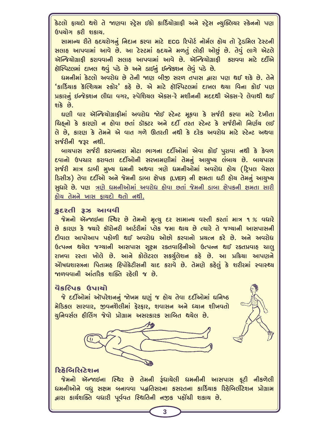કેટલો ફાયદો થશે તે જાણવા સ્ટ્રેસ ઈકો કાર્ડિયોગ્રાફી અને સ્ટ્રેસ ન્યુક્લિયર સ્કેનનો પણ ઉપયોગ કરી શકાય.

સામાન્ય રીતે હૃદયરોગનું નિદાન કરવા માટે ECG રિપોર્ટ નોર્મલ હોય તો ટ્રેડમિલ ટેસ્ટની સલાહ આપવામાં આવે છે. આ ટેસ્ટમાં હૃદયને મળતું લોહી ઓછું છે. તેવું લાગે એટલે ઍન્જિયોગ્રાકી કરાવવાની સલાહ આપવામાં આવે છે. ઍન્જિયોગ્રાકી કરાવવા માટે દર્દીએ હૉસ્પિટલમાં દાખલ થવું પડે છે અને ડાઈનું ઈન્જેકશન લેવું પડે છે.

ધમનીમાં કેટલો અવરોધ છે તેની જાણ બીજી સરળ તપાસ દ્વારા પણ થઈ શકે છે. તેને 'કાર્ડિયાક કૅલ્શિયમ સ્કોર' કહે છે. એ માટે હૉસ્પિટલમાં દાખલ થયા વિના કોઈ પણ પ્રકારનું ઈન્જેક્શન લીધા વગર, સ્પેશિયલ એક્સ-રે મશીનની મદદથી એક્સ-રે લેવાથી થઈ શકે છે.

ઘણી વાર ઍન્જિચોગ્રાફીમાં અવરોધ જોઈ સ્ટેન્ટ મૂકવા કે સર્જરી કરવા માટે દેખીતા ચિઠ્નો કે કારણો ન હોવા છતાં ડૉક્ટર અને દર્દી તરત સ્ટેન્ટ કે સર્જરીનો નિર્ણય લઈ લે છે, કારણ કે તેમને એ વાત ગળે ઊતરતી નથી કે દરેક અવરોધ માટે સ્ટેન્ટ અથવા સર્જરીની જરૂર નથી.

બાચપાસ સર્જરી કરાવનારા મોટા ભાગના દર્દીઓમાં એવા કોઈ પુરાવા નથી કે કેવળ દવાનો ઉપચાર કરાવતા દર્દીઓની સરખામણીમાં તેમનું આચુષ્ય લંબાચ છે. બાચપાસ સર્જરી માત્ર ડાબી મુખ્ય ધમની અથવા ત્રણે ધમનીઓમાં અવરોધ હોચ (ટિપલ વેસલ ડિસીઝ) તેવા દર્દીઓ અને જેમની ડાબા ક્ષેપક (LVEF) ની ક્ષમતા ઘટી હોય તેમનું આયુષ્ય સુધારે છે. પણ ત્રણે ધમનીઓમાં અવરોધ હોવા છતાં જેમની ડાબા ક્ષેપકની ક્ષમતા સારી હોય તેમને ખાસ કાયદો થતો નથી.

#### કદરતી ૩ઝ આવવી

જેમનો ઍન્જાઈના સ્થિર છે તેમનો મૃત્યુ દર સામાન્ય વસ્તી કરતાં માત્ર ૧% વધારે છે કારણ કે જ્યારે કૉરોનરી આર્ટરીમાં પ્લેક જમા થાય છે ત્યારે તે જગ્યાની આસપાસની દીવાલ આપોઆપ પહોળી થઈ અવરોધ ઓછો કરવાનો પ્રચત્ન કરે છે. અને અવરોધ ઉત્પન્ન થચેલ જગ્યાની આસપાસ સૂક્ષ્મ રક્તવાહિનીઓ ઉત્પન્ન થઈ રક્તપ્રવાહ ચાલુ રાખવા રસ્તા ખોલે છે. આને કોલેટરલ સકર્યુલેશન કહે છે. આ પ્રક્રિયા આપણને એોષધશાસ્ત્રના પિતામહ હિપોક્રેટીસની ચાદ કરાવે છે. તેમણે કહેલું કે શરીરમાં સ્વાસ્થ્ય જાળવવાની આંતરિક શક્તિ રહેલી જ છે.

#### વૈકલ્પિક ઉપાચો

જે દર્દીઓમાં ઑપરેશનનું જોખમ ઘણું જ હોય તેવા દર્દીઓમાં ઘનિષ્ઠ મેડિકલ સારવાર, જીવનશૈલીમાં ફેરફાર, શવાસન અને ધ્યાન શીખવતો યુનિવર્સલ હીલિંગ જેવો પ્રોગ્રામ અસરકારક સાબિત થચેલ છે.





જેમનો ઍન્જાઇના સ્થિર છે તેમની રૂંધાચેલી ધમનીની આસપાસ ફટી નીકળેલી ધમનીઓને વધુ સક્ષમ બનાવવા પદ્ધતિસરના કસરતના કાર્ડિયાક રિહેબિલીટેશન પ્રોગ્રામ દ્વારા કાર્યશક્તિ વધારી પૂર્વવત સ્થિતિની નજીક પહોંચી શકાય છે.